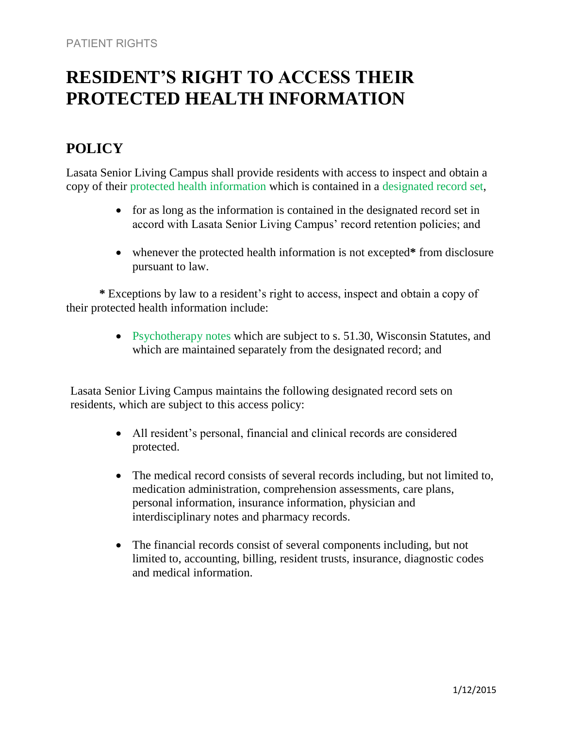# **RESIDENT'S RIGHT TO ACCESS THEIR PROTECTED HEALTH INFORMATION**

## **POLICY**

Lasata Senior Living Campus shall provide residents with access to inspect and obtain a copy of their protected health information which is contained in a designated record set,

- for as long as the information is contained in the designated record set in accord with Lasata Senior Living Campus' record retention policies; and
- whenever the protected health information is not excepted**\*** from disclosure pursuant to law.

**\*** Exceptions by law to a resident's right to access, inspect and obtain a copy of their protected health information include:

> • Psychotherapy notes which are subject to s. 51.30, Wisconsin Statutes, and which are maintained separately from the designated record; and

Lasata Senior Living Campus maintains the following designated record sets on residents, which are subject to this access policy:

- All resident's personal, financial and clinical records are considered protected.
- The medical record consists of several records including, but not limited to, medication administration, comprehension assessments, care plans, personal information, insurance information, physician and interdisciplinary notes and pharmacy records.
- The financial records consist of several components including, but not limited to, accounting, billing, resident trusts, insurance, diagnostic codes and medical information.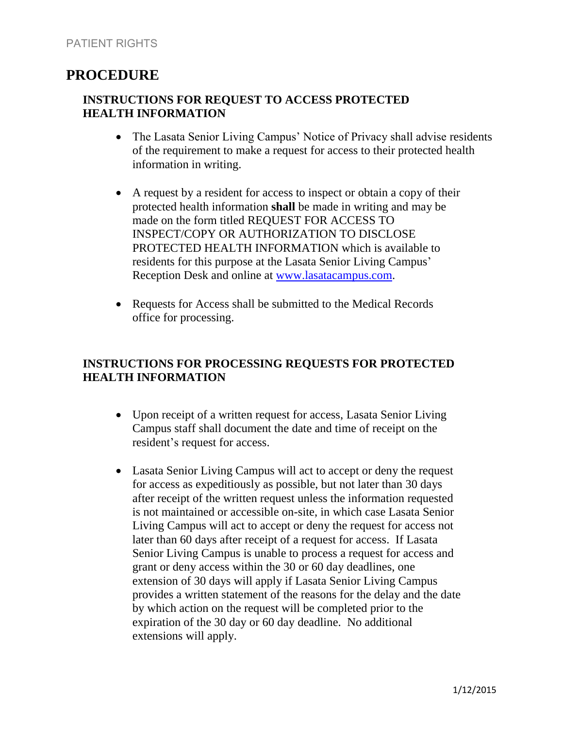### **PROCEDURE**

#### **INSTRUCTIONS FOR REQUEST TO ACCESS PROTECTED HEALTH INFORMATION**

- The Lasata Senior Living Campus' Notice of Privacy shall advise residents of the requirement to make a request for access to their protected health information in writing.
- A request by a resident for access to inspect or obtain a copy of their protected health information **shall** be made in writing and may be made on the form titled REQUEST FOR ACCESS TO INSPECT/COPY OR AUTHORIZATION TO DISCLOSE PROTECTED HEALTH INFORMATION which is available to residents for this purpose at the Lasata Senior Living Campus' Reception Desk and online at [www.lasatacampus.com.](http://www.lasatacampus.com/)
- Requests for Access shall be submitted to the Medical Records office for processing.

#### **INSTRUCTIONS FOR PROCESSING REQUESTS FOR PROTECTED HEALTH INFORMATION**

- Upon receipt of a written request for access, Lasata Senior Living Campus staff shall document the date and time of receipt on the resident's request for access.
- Lasata Senior Living Campus will act to accept or deny the request for access as expeditiously as possible, but not later than 30 days after receipt of the written request unless the information requested is not maintained or accessible on-site, in which case Lasata Senior Living Campus will act to accept or deny the request for access not later than 60 days after receipt of a request for access. If Lasata Senior Living Campus is unable to process a request for access and grant or deny access within the 30 or 60 day deadlines, one extension of 30 days will apply if Lasata Senior Living Campus provides a written statement of the reasons for the delay and the date by which action on the request will be completed prior to the expiration of the 30 day or 60 day deadline. No additional extensions will apply.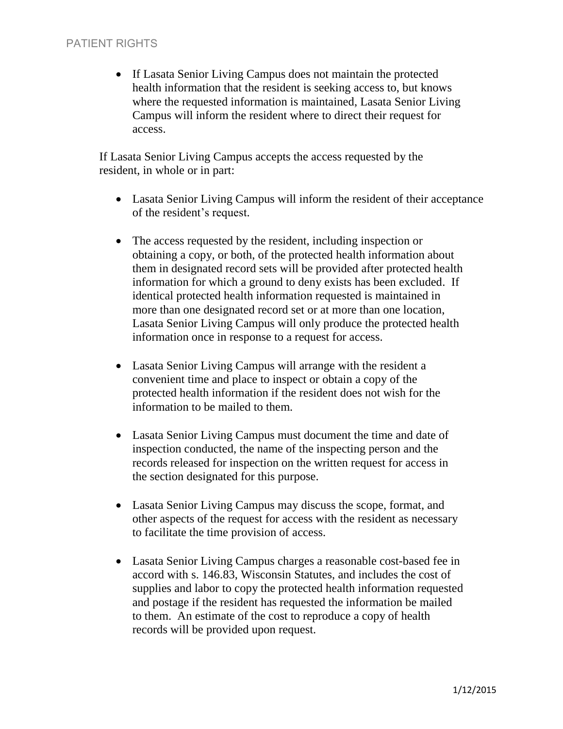• If Lasata Senior Living Campus does not maintain the protected health information that the resident is seeking access to, but knows where the requested information is maintained, Lasata Senior Living Campus will inform the resident where to direct their request for access.

If Lasata Senior Living Campus accepts the access requested by the resident, in whole or in part:

- Lasata Senior Living Campus will inform the resident of their acceptance of the resident's request.
- The access requested by the resident, including inspection or obtaining a copy, or both, of the protected health information about them in designated record sets will be provided after protected health information for which a ground to deny exists has been excluded. If identical protected health information requested is maintained in more than one designated record set or at more than one location, Lasata Senior Living Campus will only produce the protected health information once in response to a request for access.
- Lasata Senior Living Campus will arrange with the resident a convenient time and place to inspect or obtain a copy of the protected health information if the resident does not wish for the information to be mailed to them.
- Lasata Senior Living Campus must document the time and date of inspection conducted, the name of the inspecting person and the records released for inspection on the written request for access in the section designated for this purpose.
- Lasata Senior Living Campus may discuss the scope, format, and other aspects of the request for access with the resident as necessary to facilitate the time provision of access.
- Lasata Senior Living Campus charges a reasonable cost-based fee in accord with s. 146.83, Wisconsin Statutes, and includes the cost of supplies and labor to copy the protected health information requested and postage if the resident has requested the information be mailed to them. An estimate of the cost to reproduce a copy of health records will be provided upon request.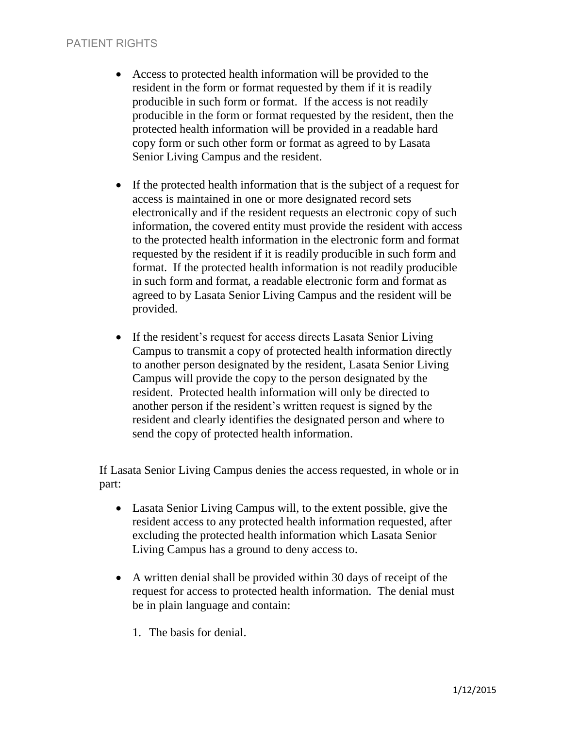#### PATIENT RIGHTS

- Access to protected health information will be provided to the resident in the form or format requested by them if it is readily producible in such form or format. If the access is not readily producible in the form or format requested by the resident, then the protected health information will be provided in a readable hard copy form or such other form or format as agreed to by Lasata Senior Living Campus and the resident.
- If the protected health information that is the subject of a request for access is maintained in one or more designated record sets electronically and if the resident requests an electronic copy of such information, the covered entity must provide the resident with access to the protected health information in the electronic form and format requested by the resident if it is readily producible in such form and format. If the protected health information is not readily producible in such form and format, a readable electronic form and format as agreed to by Lasata Senior Living Campus and the resident will be provided.
- If the resident's request for access directs Lasata Senior Living Campus to transmit a copy of protected health information directly to another person designated by the resident, Lasata Senior Living Campus will provide the copy to the person designated by the resident. Protected health information will only be directed to another person if the resident's written request is signed by the resident and clearly identifies the designated person and where to send the copy of protected health information.

If Lasata Senior Living Campus denies the access requested, in whole or in part:

- Lasata Senior Living Campus will, to the extent possible, give the resident access to any protected health information requested, after excluding the protected health information which Lasata Senior Living Campus has a ground to deny access to.
- A written denial shall be provided within 30 days of receipt of the request for access to protected health information. The denial must be in plain language and contain:
	- 1. The basis for denial.